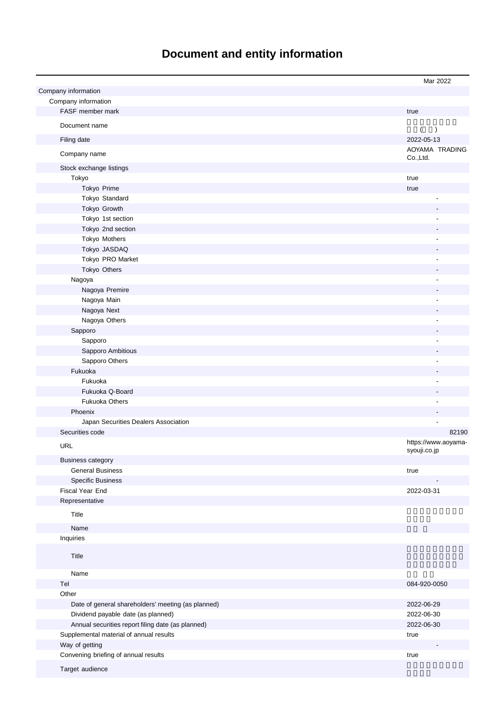# **Document and entity information**

|                                                    | Mar 2022                    |
|----------------------------------------------------|-----------------------------|
| Company information                                |                             |
| Company information                                |                             |
|                                                    |                             |
| FASF member mark                                   | true                        |
| Document name                                      |                             |
|                                                    | (<br>$\lambda$              |
| Filing date                                        | 2022-05-13                  |
| Company name                                       | AOYAMA TRADING<br>Co., Ltd. |
| Stock exchange listings                            |                             |
| Tokyo                                              | true                        |
|                                                    |                             |
| Tokyo Prime                                        | true                        |
| Tokyo Standard                                     |                             |
| Tokyo Growth                                       |                             |
| Tokyo 1st section                                  |                             |
| Tokyo 2nd section                                  |                             |
| Tokyo Mothers                                      |                             |
| Tokyo JASDAQ                                       |                             |
| Tokyo PRO Market                                   |                             |
| Tokyo Others                                       |                             |
| Nagoya                                             |                             |
| Nagoya Premire                                     |                             |
| Nagoya Main                                        |                             |
| Nagoya Next                                        |                             |
| Nagoya Others                                      |                             |
| Sapporo                                            |                             |
|                                                    |                             |
| Sapporo                                            |                             |
| Sapporo Ambitious                                  |                             |
| Sapporo Others                                     |                             |
| Fukuoka                                            |                             |
| Fukuoka                                            |                             |
| Fukuoka Q-Board                                    |                             |
| <b>Fukuoka Others</b>                              |                             |
| Phoenix                                            |                             |
| Japan Securities Dealers Association               |                             |
| Securities code                                    | 82190                       |
|                                                    | https://www.aoyama-         |
| <b>URL</b>                                         | syouji.co.jp                |
| <b>Business category</b>                           |                             |
| <b>General Business</b>                            | true                        |
| <b>Specific Business</b>                           |                             |
| Fiscal Year End                                    | 2022-03-31                  |
| Representative                                     |                             |
|                                                    |                             |
| Title                                              |                             |
| Name                                               |                             |
| Inquiries                                          |                             |
|                                                    |                             |
| Title                                              |                             |
|                                                    |                             |
| Name                                               |                             |
| Tel                                                | 084-920-0050                |
| Other                                              |                             |
| Date of general shareholders' meeting (as planned) | 2022-06-29                  |
| Dividend payable date (as planned)                 | 2022-06-30                  |
| Annual securities report filing date (as planned)  | 2022-06-30                  |
|                                                    |                             |
| Supplemental material of annual results            | true                        |
| Way of getting                                     |                             |
| Convening briefing of annual results               | true                        |
| Target audience                                    |                             |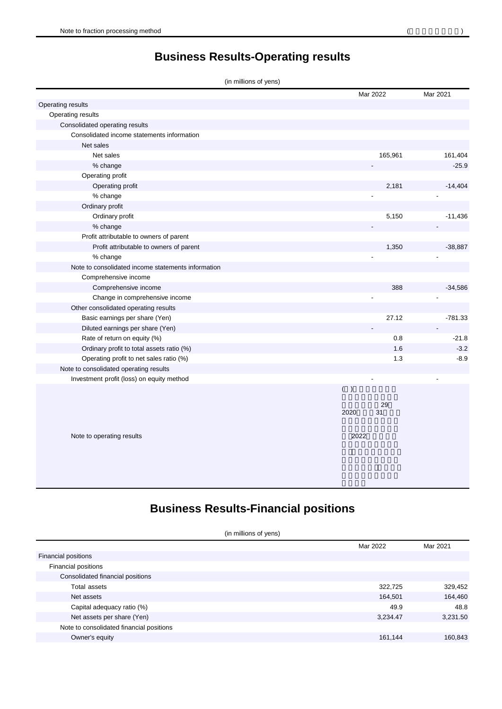**Business Results-Operating results**

| (in millions of yens) |  |  |  |  |
|-----------------------|--|--|--|--|
|-----------------------|--|--|--|--|

|                                                    |      | Mar 2022 | Mar 2021  |
|----------------------------------------------------|------|----------|-----------|
| Operating results                                  |      |          |           |
| Operating results                                  |      |          |           |
| Consolidated operating results                     |      |          |           |
| Consolidated income statements information         |      |          |           |
| Net sales                                          |      |          |           |
| Net sales                                          |      | 165,961  | 161,404   |
| % change                                           |      |          | $-25.9$   |
| Operating profit                                   |      |          |           |
| Operating profit                                   |      | 2,181    | $-14,404$ |
| % change                                           |      |          |           |
| Ordinary profit                                    |      |          |           |
| Ordinary profit                                    |      | 5,150    | $-11,436$ |
| % change                                           |      |          |           |
| Profit attributable to owners of parent            |      |          |           |
| Profit attributable to owners of parent            |      | 1,350    | $-38,887$ |
| % change                                           |      |          |           |
| Note to consolidated income statements information |      |          |           |
| Comprehensive income                               |      |          |           |
| Comprehensive income                               |      | 388      | $-34,586$ |
| Change in comprehensive income                     |      |          |           |
| Other consolidated operating results               |      |          |           |
| Basic earnings per share (Yen)                     |      | 27.12    | $-781.33$ |
| Diluted earnings per share (Yen)                   |      |          |           |
| Rate of return on equity (%)                       |      | 0.8      | $-21.8$   |
| Ordinary profit to total assets ratio (%)          |      | 1.6      | $-3.2$    |
| Operating profit to net sales ratio (%)            |      | 1.3      | $-8.9$    |
| Note to consolidated operating results             |      |          |           |
| Investment profit (loss) on equity method          |      |          |           |
|                                                    | ( )  |          |           |
|                                                    |      | 29       |           |
|                                                    | 2020 | 31       |           |
|                                                    |      |          |           |
|                                                    |      |          |           |
| Note to operating results                          | 2022 |          |           |
|                                                    |      |          |           |
|                                                    |      |          |           |

## **Business Results-Financial positions**

(in millions of yens)

|                                          | Mar 2022 | Mar 2021 |
|------------------------------------------|----------|----------|
| <b>Financial positions</b>               |          |          |
| Financial positions                      |          |          |
| Consolidated financial positions         |          |          |
| Total assets                             | 322,725  | 329,452  |
| Net assets                               | 164,501  | 164,460  |
| Capital adequacy ratio (%)               | 49.9     | 48.8     |
| Net assets per share (Yen)               | 3,234.47 | 3,231.50 |
| Note to consolidated financial positions |          |          |
| Owner's equity                           | 161,144  | 160,843  |
|                                          |          |          |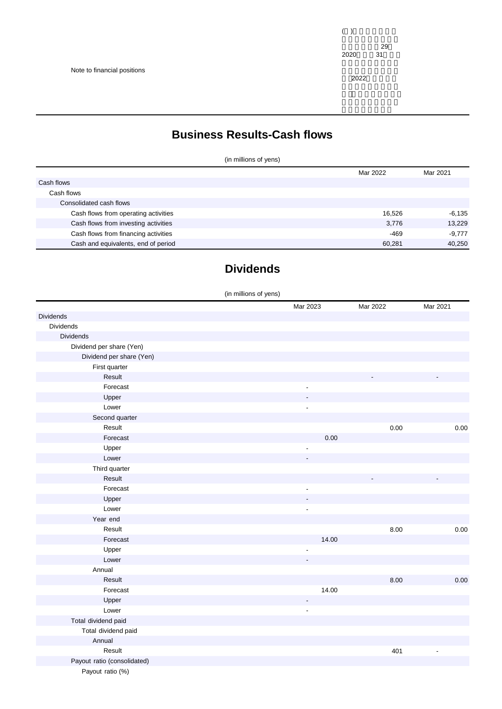Note to financial positions

2022

### **Business Results-Cash flows**

(in millions of yens)

|                                      | Mar 2022 | Mar 2021 |
|--------------------------------------|----------|----------|
| Cash flows                           |          |          |
| Cash flows                           |          |          |
| Consolidated cash flows              |          |          |
| Cash flows from operating activities | 16,526   | $-6,135$ |
| Cash flows from investing activities | 3,776    | 13.229   |
| Cash flows from financing activities | $-469$   | $-9.777$ |
| Cash and equivalents, end of period  | 60.281   | 40,250   |

## **Dividends**

|                             | (in millions of yens)    |       |          |                |
|-----------------------------|--------------------------|-------|----------|----------------|
|                             | Mar 2023                 |       | Mar 2022 | Mar 2021       |
| Dividends                   |                          |       |          |                |
| Dividends                   |                          |       |          |                |
| <b>Dividends</b>            |                          |       |          |                |
| Dividend per share (Yen)    |                          |       |          |                |
| Dividend per share (Yen)    |                          |       |          |                |
| First quarter               |                          |       |          |                |
| Result                      |                          |       |          |                |
| Forecast                    | $\overline{a}$           |       |          |                |
| Upper                       |                          |       |          |                |
| Lower                       | $\blacksquare$           |       |          |                |
| Second quarter              |                          |       |          |                |
| Result                      |                          |       | 0.00     | 0.00           |
| Forecast                    |                          | 0.00  |          |                |
| Upper                       |                          |       |          |                |
| Lower                       |                          |       |          |                |
| Third quarter               |                          |       |          |                |
| Result                      |                          |       |          |                |
| Forecast                    | $\overline{\phantom{a}}$ |       |          |                |
| Upper                       |                          |       |          |                |
| Lower                       |                          |       |          |                |
| Year end                    |                          |       |          |                |
| Result                      |                          |       | 8.00     | 0.00           |
| Forecast                    |                          | 14.00 |          |                |
| Upper                       | ÷,                       |       |          |                |
| Lower                       |                          |       |          |                |
| Annual                      |                          |       |          |                |
| Result                      |                          |       | 8.00     | $0.00\,$       |
| Forecast                    |                          | 14.00 |          |                |
| Upper                       | ٠                        |       |          |                |
| Lower                       | $\overline{\phantom{a}}$ |       |          |                |
| Total dividend paid         |                          |       |          |                |
| Total dividend paid         |                          |       |          |                |
| Annual                      |                          |       |          |                |
| Result                      |                          |       | 401      | $\blacksquare$ |
| Payout ratio (consolidated) |                          |       |          |                |
| Payout ratio (%)            |                          |       |          |                |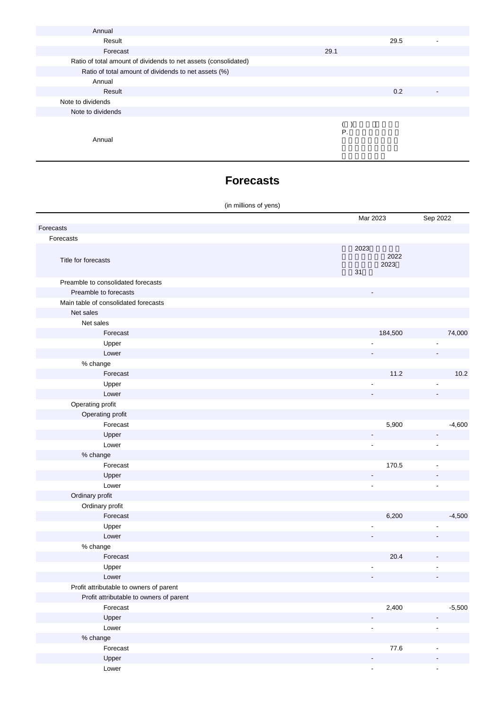| Annual                                                          |      |      |                          |
|-----------------------------------------------------------------|------|------|--------------------------|
| Result                                                          |      | 29.5 | -                        |
| Forecast                                                        | 29.1 |      |                          |
| Ratio of total amount of dividends to net assets (consolidated) |      |      |                          |
| Ratio of total amount of dividends to net assets (%)            |      |      |                          |
| Annual                                                          |      |      |                          |
| Result                                                          |      | 0.2  | $\overline{\phantom{a}}$ |
| Note to dividends                                               |      |      |                          |
| Note to dividends                                               |      |      |                          |
|                                                                 | Ρ.   |      |                          |
| Annual                                                          |      |      |                          |

#### **Forecasts**

#### (in millions of yens)

|                                         | Mar 2023                   | Sep 2022                 |
|-----------------------------------------|----------------------------|--------------------------|
| Forecasts                               |                            |                          |
| Forecasts                               |                            |                          |
| Title for forecasts                     | 2023<br>2022<br>2023<br>31 |                          |
| Preamble to consolidated forecasts      |                            |                          |
| Preamble to forecasts                   |                            |                          |
| Main table of consolidated forecasts    |                            |                          |
| Net sales                               |                            |                          |
| Net sales                               |                            |                          |
| Forecast                                | 184,500                    | 74,000                   |
| Upper                                   |                            |                          |
| Lower                                   |                            |                          |
| % change                                |                            |                          |
| Forecast                                | 11.2                       | 10.2                     |
| Upper                                   |                            |                          |
| Lower                                   |                            |                          |
| Operating profit                        |                            |                          |
| Operating profit                        |                            |                          |
| Forecast                                | 5,900                      | $-4,600$                 |
| Upper                                   |                            | $\overline{\phantom{a}}$ |
| Lower                                   | $\overline{\phantom{a}}$   | Ĭ.                       |
| % change                                |                            |                          |
| Forecast                                | 170.5                      | $\blacksquare$           |
| Upper                                   |                            |                          |
| Lower                                   | -                          | $\blacksquare$           |
|                                         | $\overline{\phantom{a}}$   |                          |
| Ordinary profit                         |                            |                          |
| Ordinary profit                         |                            |                          |
| Forecast                                | 6,200                      | $-4,500$                 |
| Upper                                   |                            |                          |
| Lower                                   |                            |                          |
| % change                                |                            |                          |
| Forecast                                | 20.4                       |                          |
| Upper                                   |                            |                          |
| Lower                                   |                            |                          |
| Profit attributable to owners of parent |                            |                          |
| Profit attributable to owners of parent |                            |                          |
| Forecast                                | 2,400                      | $-5,500$                 |
| Upper                                   | $\overline{\phantom{a}}$   | $\overline{\phantom{a}}$ |
| Lower                                   | $\overline{\phantom{a}}$   | $\overline{\phantom{a}}$ |
| % change                                |                            |                          |
| Forecast                                | 77.6                       | $\overline{\phantom{a}}$ |
| Upper                                   | $\overline{\phantom{a}}$   | $\overline{\phantom{0}}$ |
| Lower                                   | $\overline{\phantom{a}}$   | $\overline{\phantom{a}}$ |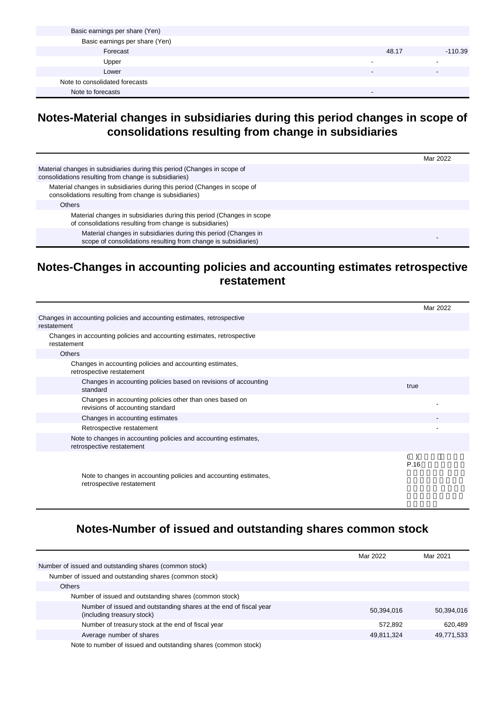| Basic earnings per share (Yen) |       |           |
|--------------------------------|-------|-----------|
| Basic earnings per share (Yen) |       |           |
| Forecast                       | 48.17 | $-110.39$ |
| Upper                          |       |           |
| Lower                          |       |           |
| Note to consolidated forecasts |       |           |
| Note to forecasts              |       |           |

#### **Notes-Material changes in subsidiaries during this period changes in scope of consolidations resulting from change in subsidiaries**

|                                                                                                                                   | Mar 2022 |
|-----------------------------------------------------------------------------------------------------------------------------------|----------|
| Material changes in subsidiaries during this period (Changes in scope of<br>consolidations resulting from change is subsidiaries) |          |
| Material changes in subsidiaries during this period (Changes in scope of<br>consolidations resulting from change is subsidiaries) |          |
| <b>Others</b>                                                                                                                     |          |
| Material changes in subsidiaries during this period (Changes in scope<br>of consolidations resulting from change is subsidiaries) |          |
| Material changes in subsidiaries during this period (Changes in<br>scope of consolidations resulting from change is subsidiaries) |          |

#### **Notes-Changes in accounting policies and accounting estimates retrospective restatement**

|                                                                                               | Mar 2022 |
|-----------------------------------------------------------------------------------------------|----------|
| Changes in accounting policies and accounting estimates, retrospective<br>restatement         |          |
| Changes in accounting policies and accounting estimates, retrospective<br>restatement         |          |
| <b>Others</b>                                                                                 |          |
| Changes in accounting policies and accounting estimates,<br>retrospective restatement         |          |
| Changes in accounting policies based on revisions of accounting<br>standard                   | true     |
| Changes in accounting policies other than ones based on<br>revisions of accounting standard   |          |
| Changes in accounting estimates                                                               |          |
| Retrospective restatement                                                                     |          |
| Note to changes in accounting policies and accounting estimates,<br>retrospective restatement |          |
|                                                                                               | P.16     |
| Note to changes in accounting policies and accounting estimates,<br>retrospective restatement |          |

#### **Notes-Number of issued and outstanding shares common stock**

|                                                                                                 | Mar 2022   | Mar 2021   |
|-------------------------------------------------------------------------------------------------|------------|------------|
| Number of issued and outstanding shares (common stock)                                          |            |            |
| Number of issued and outstanding shares (common stock)                                          |            |            |
| <b>Others</b>                                                                                   |            |            |
| Number of issued and outstanding shares (common stock)                                          |            |            |
| Number of issued and outstanding shares at the end of fiscal year<br>(including treasury stock) | 50,394,016 | 50,394,016 |
| Number of treasury stock at the end of fiscal year                                              | 572.892    | 620,489    |
| Average number of shares                                                                        | 49,811,324 | 49,771,533 |
| Note to number of issued and outstanding shares (common stock)                                  |            |            |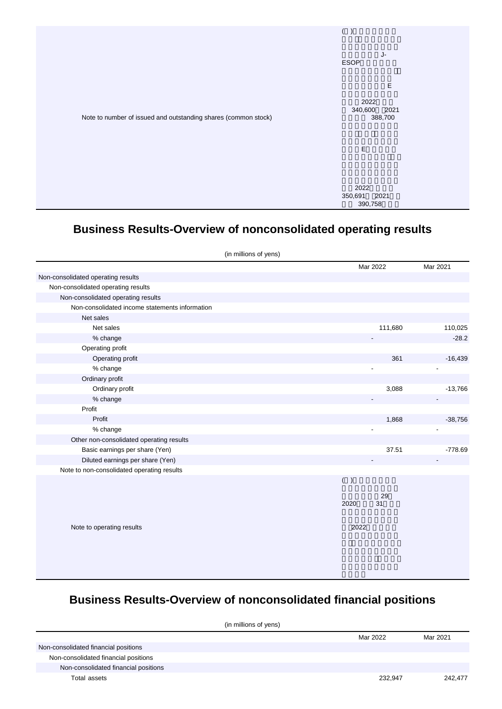

## **Business Results-Overview of nonconsolidated operating results**

|                                                | (in millions of yens) |      |          |                          |
|------------------------------------------------|-----------------------|------|----------|--------------------------|
|                                                |                       |      | Mar 2022 | Mar 2021                 |
| Non-consolidated operating results             |                       |      |          |                          |
| Non-consolidated operating results             |                       |      |          |                          |
| Non-consolidated operating results             |                       |      |          |                          |
| Non-consolidated income statements information |                       |      |          |                          |
| Net sales                                      |                       |      |          |                          |
| Net sales                                      |                       |      | 111,680  | 110,025                  |
| % change                                       |                       |      |          | $-28.2$                  |
| Operating profit                               |                       |      |          |                          |
| Operating profit                               |                       |      | 361      | $-16,439$                |
| % change                                       |                       |      |          |                          |
| Ordinary profit                                |                       |      |          |                          |
| Ordinary profit                                |                       |      | 3,088    | $-13,766$                |
| % change                                       |                       |      |          | $\overline{\phantom{0}}$ |
| Profit                                         |                       |      |          |                          |
| Profit                                         |                       |      | 1,868    | $-38,756$                |
| % change                                       |                       |      |          |                          |
| Other non-consolidated operating results       |                       |      |          |                          |
| Basic earnings per share (Yen)                 |                       |      | 37.51    | $-778.69$                |
| Diluted earnings per share (Yen)               |                       |      |          |                          |
| Note to non-consolidated operating results     |                       |      |          |                          |
|                                                |                       | ( )  |          |                          |
|                                                |                       |      | 29       |                          |
|                                                |                       | 2020 | 31       |                          |
|                                                |                       |      |          |                          |
|                                                |                       |      |          |                          |
| Note to operating results                      |                       | 2022 |          |                          |
|                                                |                       |      |          |                          |
|                                                |                       |      |          |                          |
|                                                |                       |      |          |                          |
|                                                |                       |      |          |                          |

## **Business Results-Overview of nonconsolidated financial positions**

| (in millions of yens)                |  |          |          |  |
|--------------------------------------|--|----------|----------|--|
|                                      |  | Mar 2022 | Mar 2021 |  |
| Non-consolidated financial positions |  |          |          |  |
| Non-consolidated financial positions |  |          |          |  |
| Non-consolidated financial positions |  |          |          |  |
| Total assets                         |  | 232.947  | 242.477  |  |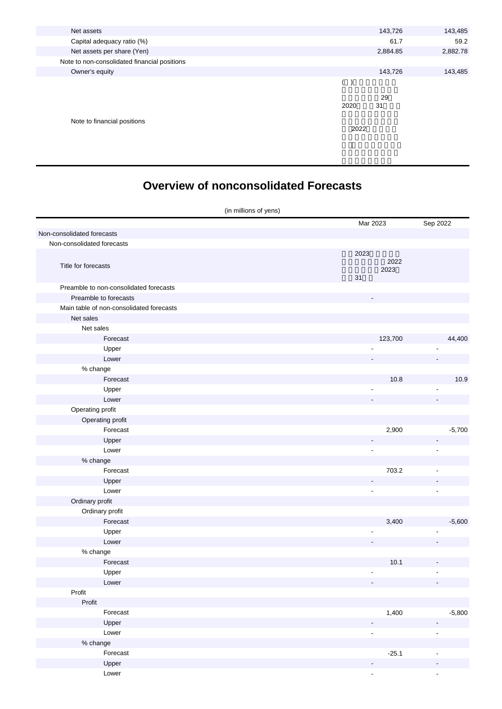| Net assets                                   |      | 143,726  | 143,485  |
|----------------------------------------------|------|----------|----------|
| Capital adequacy ratio (%)                   |      | 61.7     | 59.2     |
| Net assets per share (Yen)                   |      | 2,884.85 | 2,882.78 |
| Note to non-consolidated financial positions |      |          |          |
| Owner's equity                               |      | 143,726  | 143,485  |
|                                              |      |          |          |
|                                              | 2020 | 29<br>31 |          |
| Note to financial positions                  | 2022 |          |          |

## **Overview of nonconsolidated Forecasts**

| (in millions of yens)                    |                            |                          |  |
|------------------------------------------|----------------------------|--------------------------|--|
|                                          | Mar 2023                   | Sep 2022                 |  |
| Non-consolidated forecasts               |                            |                          |  |
| Non-consolidated forecasts               |                            |                          |  |
| Title for forecasts                      | 2023<br>2022<br>2023<br>31 |                          |  |
| Preamble to non-consolidated forecasts   |                            |                          |  |
| Preamble to forecasts                    |                            |                          |  |
| Main table of non-consolidated forecasts |                            |                          |  |
| Net sales                                |                            |                          |  |
| Net sales                                |                            |                          |  |
| Forecast                                 | 123,700                    | 44,400                   |  |
| Upper                                    |                            |                          |  |
| Lower                                    |                            |                          |  |
| % change                                 |                            |                          |  |
| Forecast                                 | 10.8                       | 10.9                     |  |
| Upper                                    |                            |                          |  |
| Lower                                    |                            |                          |  |
| Operating profit                         |                            |                          |  |
| Operating profit                         |                            |                          |  |
| Forecast                                 | 2,900                      | $-5,700$                 |  |
| Upper                                    | -                          |                          |  |
| Lower                                    | ٠                          |                          |  |
| % change                                 |                            |                          |  |
| Forecast                                 | 703.2                      | $\overline{\phantom{a}}$ |  |
| Upper                                    |                            |                          |  |
| Lower                                    | ٠                          | $\overline{\phantom{a}}$ |  |
| Ordinary profit                          |                            |                          |  |
| Ordinary profit                          |                            |                          |  |
| Forecast                                 | 3,400                      | $-5,600$                 |  |
| Upper                                    |                            |                          |  |
| Lower                                    |                            |                          |  |
| % change                                 |                            |                          |  |
| Forecast                                 | 10.1                       |                          |  |
| Upper                                    |                            |                          |  |
| Lower                                    |                            |                          |  |
| Profit                                   |                            |                          |  |
| Profit                                   |                            |                          |  |
| Forecast                                 | 1,400                      | $-5,800$                 |  |
| Upper                                    |                            |                          |  |
| Lower                                    | $\overline{\phantom{a}}$   | $\blacksquare$           |  |
| % change                                 |                            |                          |  |
| Forecast                                 | $-25.1$                    | $\overline{\phantom{a}}$ |  |
| Upper                                    |                            |                          |  |
| Lower                                    | ÷,                         | $\blacksquare$           |  |